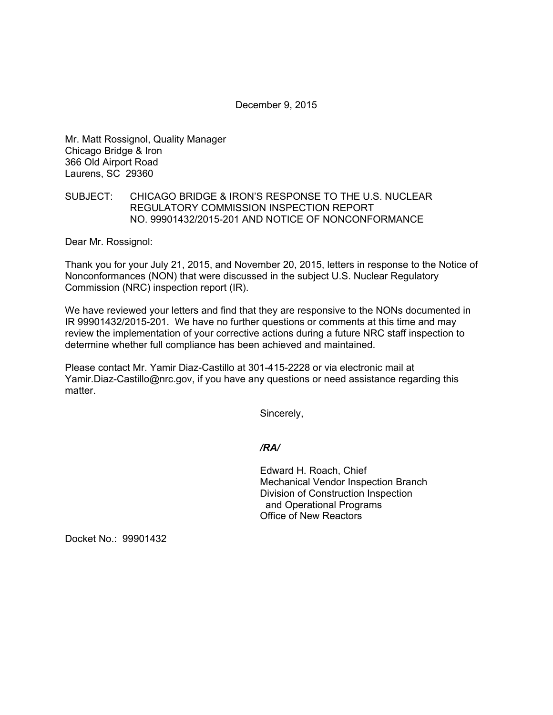December 9, 2015

Mr. Matt Rossignol, Quality Manager Chicago Bridge & Iron 366 Old Airport Road Laurens, SC 29360

## SUBJECT: CHICAGO BRIDGE & IRON'S RESPONSE TO THE U.S. NUCLEAR REGULATORY COMMISSION INSPECTION REPORT NO. 99901432/2015-201 AND NOTICE OF NONCONFORMANCE

Dear Mr. Rossignol:

Thank you for your July 21, 2015, and November 20, 2015, letters in response to the Notice of Nonconformances (NON) that were discussed in the subject U.S. Nuclear Regulatory Commission (NRC) inspection report (IR).

We have reviewed your letters and find that they are responsive to the NONs documented in IR 99901432/2015-201. We have no further questions or comments at this time and may review the implementation of your corrective actions during a future NRC staff inspection to determine whether full compliance has been achieved and maintained.

Please contact Mr. Yamir Diaz-Castillo at 301-415-2228 or via electronic mail at Yamir.Diaz-Castillo@nrc.gov, if you have any questions or need assistance regarding this matter.

Sincerely,

*/RA/* 

Edward H. Roach, Chief Mechanical Vendor Inspection Branch Division of Construction Inspection and Operational Programs Office of New Reactors

Docket No.: 99901432